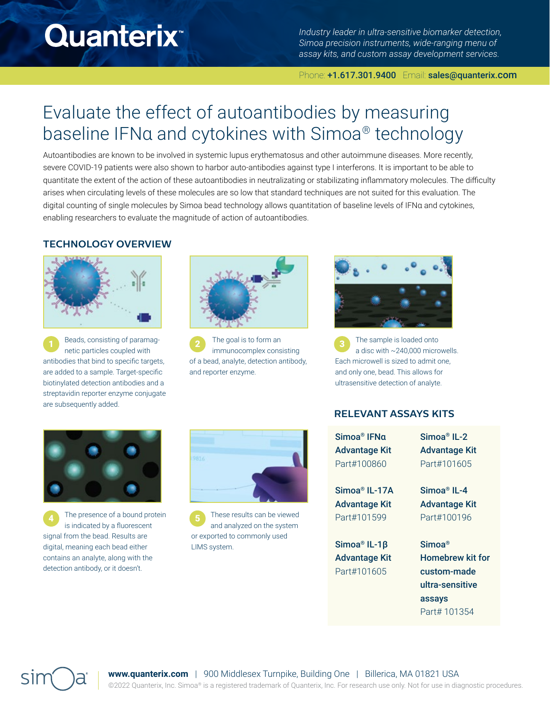# **Quanterix**

*Industry leader in ultra-sensitive biomarker detection, Simoa precision instruments, wide-ranging menu of assay kits, and custom assay development services.*

#### Phone: +1.617.301.9400 Email: sales@quanterix.com

# Evaluate the effect of autoantibodies by measuring baseline IFNα and cytokines with Simoa® technology

Autoantibodies are known to be involved in systemic lupus erythematosus and other autoimmune diseases. More recently, severe COVID-19 patients were also shown to harbor auto-antibodies against type I interferons. It is important to be able to quantitate the extent of the action of these autoantibodies in neutralizating or stabilizating inflammatory molecules. The difficulty arises when circulating levels of these molecules are so low that standard techniques are not suited for this evaluation. The digital counting of single molecules by Simoa bead technology allows quantitation of baseline levels of IFNα and cytokines, enabling researchers to evaluate the magnitude of action of autoantibodies.

### **TECHNOLOGY OVERVIEW**



**1** Beads, consisting of paramag-<br> **1** Beads, consisting of paramag-<br> **1** Beads, consisting of paramagnetic particles coupled with antibodies that bind to specific targets, are added to a sample. Target-specific biotinylated detection antibodies and a streptavidin reporter enzyme conjugate are subsequently added.



The goal is to form an immunocomplex consisting of a bead, analyte, detection antibody, and reporter enzyme.



The sample is loaded onto a disc with ~240,000 microwells. Each microwell is sized to admit one, and only one, bead. This allows for ultrasensitive detection of analyte.



4 The presence of a bound protein 6 is indicated by a fluorescent signal from the bead. Results are digital, meaning each bead either contains an analyte, along with the detection antibody, or it doesn't.



These results can be viewed and analyzed on the system or exported to commonly used LIMS system.

## **RELEVANT ASSAYS KITS**

| Simoa® IFNα   | Simoa <sup>®</sup> IL-2 |
|---------------|-------------------------|
| Advantage Kit | <b>Advantage Kit</b>    |
| Part#100860   | Part#101605             |
| Simoa® IL-17A | Simoa <sup>®</sup> IL-4 |
| Advantage Kit | <b>Advantage Kit</b>    |
| Part#101599   | Part#100196             |
| Simoa® IL-1β  | Simoa <sup>®</sup>      |
| Advantage Kit | <b>Homebrew kit for</b> |
| Part#101605   | custom-made             |
|               | ultra-sensitive         |
|               | assays                  |

Part# 101354



**www.quanterix.com** | 900 Middlesex Turnpike, Building One | Billerica, MA 01821 USA ©2022 Quanterix, Inc. Simoa® is a registered trademark of Quanterix, Inc. For research use only. Not for use in diagnostic procedures.